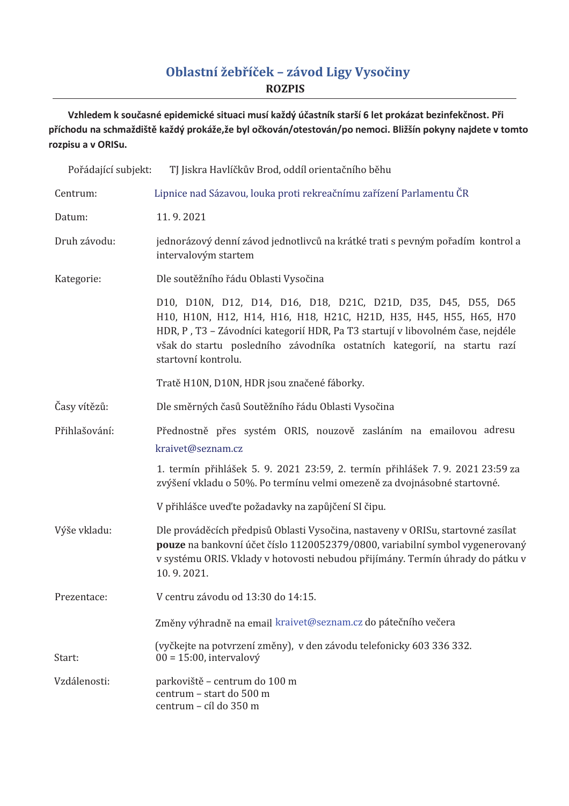## Oblastní žebříček - závod Ligy Vysočiny **ROZPIS**

Vzhledem k současné epidemické situaci musí každý účastník starší 6 let prokázat bezinfekčnost. Při příchodu na schmaždiště každý prokáže,že byl očkován/otestován/po nemoci. Bližšín pokyny najdete v tomto rozpisu a v ORISu.

| Pořádající subjekt: | TJ Jiskra Havlíčkův Brod, oddíl orientačního běhu                                                                                                                                                                                                                                                                        |
|---------------------|--------------------------------------------------------------------------------------------------------------------------------------------------------------------------------------------------------------------------------------------------------------------------------------------------------------------------|
| Centrum:            | Lipnice nad Sázavou, louka proti rekreačnímu zařízení Parlamentu ČR                                                                                                                                                                                                                                                      |
| Datum:              | 11.9.2021                                                                                                                                                                                                                                                                                                                |
| Druh závodu:        | jednorázový denní závod jednotlivců na krátké trati s pevným pořadím kontrol a<br>intervalovým startem                                                                                                                                                                                                                   |
| Kategorie:          | Dle soutěžního řádu Oblasti Vysočina                                                                                                                                                                                                                                                                                     |
|                     | D10, D10N, D12, D14, D16, D18, D21C, D21D, D35, D45, D55, D65<br>H10, H10N, H12, H14, H16, H18, H21C, H21D, H35, H45, H55, H65, H70<br>HDR, P, T3 - Závodníci kategorií HDR, Pa T3 startují v libovolném čase, nejdéle<br>však do startu posledního závodníka ostatních kategorií, na startu razí<br>startovní kontrolu. |
|                     | Tratě H10N, D10N, HDR jsou značené fáborky.                                                                                                                                                                                                                                                                              |
| Časy vítězů:        | Dle směrných časů Soutěžního řádu Oblasti Vysočina                                                                                                                                                                                                                                                                       |
| Přihlašování:       | Přednostně přes systém ORIS, nouzově zasláním na emailovou adresu                                                                                                                                                                                                                                                        |
|                     | kraivet@seznam.cz                                                                                                                                                                                                                                                                                                        |
|                     | 1. termín přihlášek 5. 9. 2021 23:59, 2. termín přihlášek 7. 9. 2021 23:59 za<br>zvýšení vkladu o 50%. Po termínu velmi omezeně za dvojnásobné startovné.                                                                                                                                                                |
|                     | V přihlášce uveď te požadavky na zapůjčení SI čipu.                                                                                                                                                                                                                                                                      |
| Výše vkladu:        | Dle prováděcích předpisů Oblasti Vysočina, nastaveny v ORISu, startovné zasílat<br>pouze na bankovní účet číslo 1120052379/0800, variabilní symbol vygenerovaný<br>v systému ORIS. Vklady v hotovosti nebudou přijímány. Termín úhrady do pátku v<br>10.9.2021.                                                          |
| Prezentace:         | V centru závodu od 13:30 do 14:15.                                                                                                                                                                                                                                                                                       |
|                     | Změny výhradně na email kraivet@seznam.cz do pátečního večera                                                                                                                                                                                                                                                            |
| Start:              | (vyčkejte na potvrzení změny), v den závodu telefonicky 603 336 332.<br>$00 = 15:00$ , intervalový                                                                                                                                                                                                                       |
| Vzdálenosti:        | parkoviště – centrum do 100 m<br>centrum - start do 500 m<br>centrum - cíl do 350 m                                                                                                                                                                                                                                      |